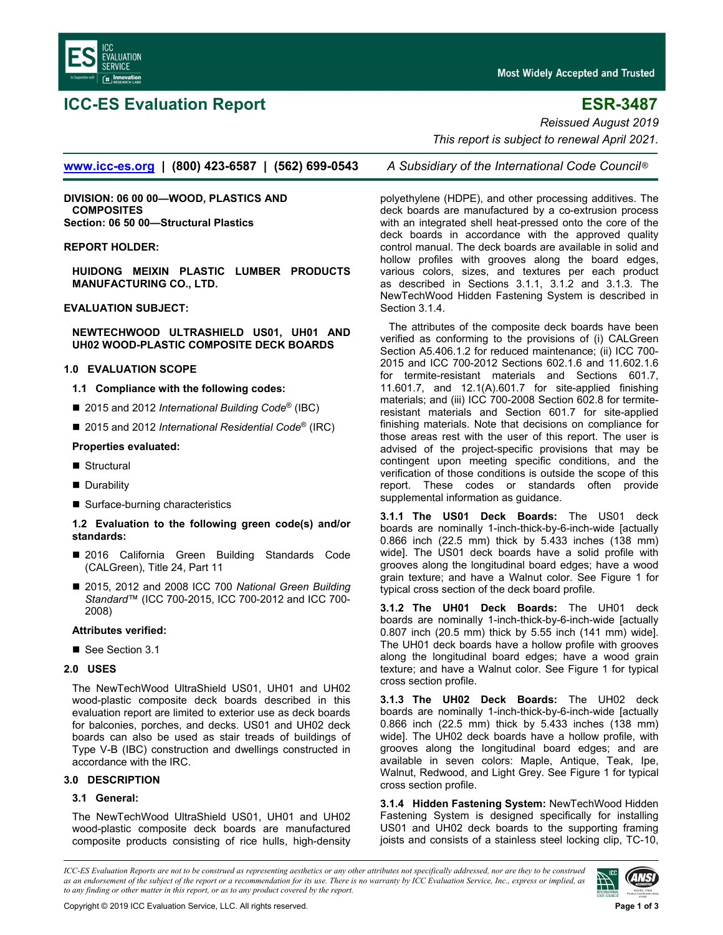

# **ICC-ES Evaluation Report ESR-3487**

*Reissued August 2019* 

 *This report is subject to renewal April 2021.* 

**[www.icc-es.org](http://www.icc-es.org/) | (800) 423-6587 | (562) 699-0543** *A Subsidiary of the International Code Council* ®

**DIVISION: 06 00 00—WOOD, PLASTICS AND COMPOSITES Section: 06 50 00—Structural Plastics** 

### **REPORT HOLDER:**

**HUIDONG MEIXIN PLASTIC LUMBER PRODUCTS MANUFACTURING CO., LTD.** 

#### **EVALUATION SUBJECT:**

**NEWTECHWOOD ULTRASHIELD US01, UH01 AND UH02 WOOD-PLASTIC COMPOSITE DECK BOARDS** 

# **1.0 EVALUATION SCOPE**

**1.1 Compliance with the following codes:** 

- 2015 and 2012 *International Building Code®* (IBC)
- 2015 and 2012 *International Residential Code®* (IRC)

# **Properties evaluated:**

- Structural
- **Durability**
- Surface-burning characteristics

# **1.2 Evaluation to the following green code(s) and/or standards:**

- 2016 California Green Building Standards Code (CALGreen), Title 24, Part 11
- 2015, 2012 and 2008 ICC 700 *National Green Building Standard*™ (ICC 700-2015, ICC 700-2012 and ICC 700- 2008)

# **Attributes verified:**

■ See Section 3.1

# **2.0 USES**

The NewTechWood UltraShield US01, UH01 and UH02 wood-plastic composite deck boards described in this evaluation report are limited to exterior use as deck boards for balconies, porches, and decks. US01 and UH02 deck boards can also be used as stair treads of buildings of Type V-B (IBC) construction and dwellings constructed in accordance with the IRC.

# **3.0 DESCRIPTION**

# **3.1 General:**

The NewTechWood UltraShield US01, UH01 and UH02 wood-plastic composite deck boards are manufactured composite products consisting of rice hulls, high-density

polyethylene (HDPE), and other processing additives. The deck boards are manufactured by a co-extrusion process with an integrated shell heat-pressed onto the core of the deck boards in accordance with the approved quality control manual. The deck boards are available in solid and hollow profiles with grooves along the board edges, various colors, sizes, and textures per each product as described in Sections 3.1.1, 3.1.2 and 3.1.3. The NewTechWood Hidden Fastening System is described in Section 3.1.4.

The attributes of the composite deck boards have been verified as conforming to the provisions of (i) CALGreen Section A5.406.1.2 for reduced maintenance; (ii) ICC 700- 2015 and ICC 700-2012 Sections 602.1.6 and 11.602.1.6 for termite-resistant materials and Sections 601.7, 11.601.7, and 12.1(A).601.7 for site-applied finishing materials; and (iii) ICC 700-2008 Section 602.8 for termiteresistant materials and Section 601.7 for site-applied finishing materials. Note that decisions on compliance for those areas rest with the user of this report. The user is advised of the project-specific provisions that may be contingent upon meeting specific conditions, and the verification of those conditions is outside the scope of this report. These codes or standards often provide supplemental information as guidance.

**3.1.1 The US01 Deck Boards:** The US01 deck boards are nominally 1-inch-thick-by-6-inch-wide [actually 0.866 inch (22.5 mm) thick by 5.433 inches (138 mm) wide]. The US01 deck boards have a solid profile with grooves along the longitudinal board edges; have a wood grain texture; and have a Walnut color. See Figure 1 for typical cross section of the deck board profile.

**3.1.2 The UH01 Deck Boards:** The UH01 deck boards are nominally 1-inch-thick-by-6-inch-wide [actually 0.807 inch (20.5 mm) thick by 5.55 inch (141 mm) wide]. The UH01 deck boards have a hollow profile with grooves along the longitudinal board edges; have a wood grain texture; and have a Walnut color. See Figure 1 for typical cross section profile.

**3.1.3 The UH02 Deck Boards:** The UH02 deck boards are nominally 1-inch-thick-by-6-inch-wide [actually 0.866 inch (22.5 mm) thick by 5.433 inches (138 mm) wide]. The UH02 deck boards have a hollow profile, with grooves along the longitudinal board edges; and are available in seven colors: Maple, Antique, Teak, Ipe, Walnut, Redwood, and Light Grey. See Figure 1 for typical cross section profile.

**3.1.4 Hidden Fastening System:** NewTechWood Hidden Fastening System is designed specifically for installing US01 and UH02 deck boards to the supporting framing joists and consists of a stainless steel locking clip, TC-10,

*ICC-ES Evaluation Reports are not to be construed as representing aesthetics or any other attributes not specifically addressed, nor are they to be construed as an endorsement of the subject of the report or a recommendation for its use. There is no warranty by ICC Evaluation Service, Inc., express or implied, as to any finding or other matter in this report, or as to any product covered by the report.*

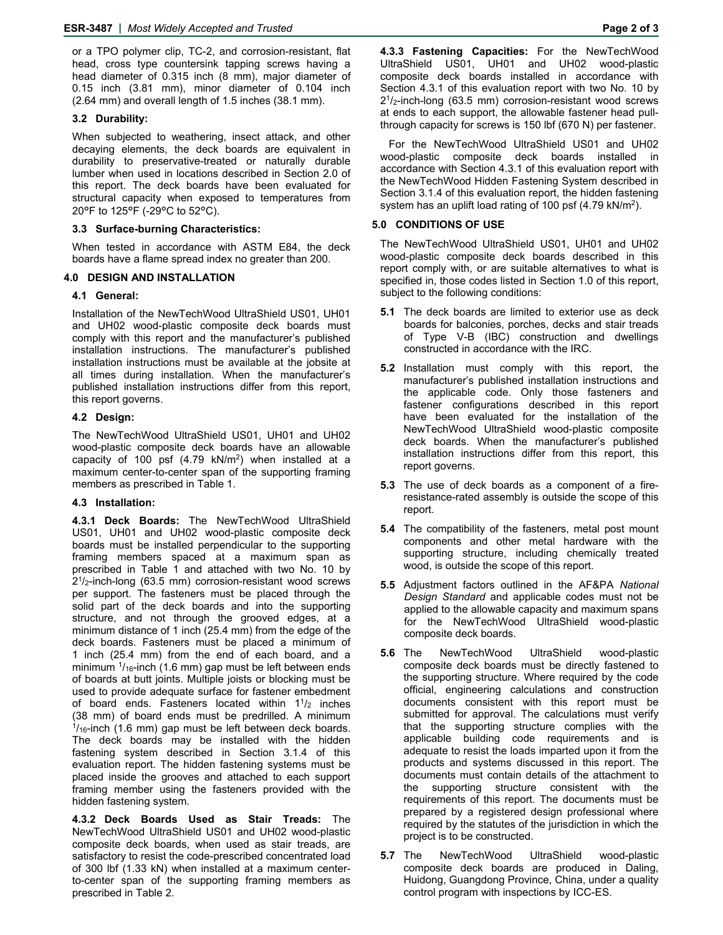or a TPO polymer clip, TC-2, and corrosion-resistant, flat head, cross type countersink tapping screws having a head diameter of 0.315 inch (8 mm), major diameter of 0.15 inch (3.81 mm), minor diameter of 0.104 inch (2.64 mm) and overall length of 1.5 inches (38.1 mm).

# **3.2 Durability:**

When subjected to weathering, insect attack, and other decaying elements, the deck boards are equivalent in durability to preservative-treated or naturally durable lumber when used in locations described in Section 2.0 of this report. The deck boards have been evaluated for structural capacity when exposed to temperatures from 20°F to 125°F (-29°C to 52°C).

# **3.3 Surface-burning Characteristics:**

When tested in accordance with ASTM E84, the deck boards have a flame spread index no greater than 200.

### **4.0 DESIGN AND INSTALLATION**

# **4.1 General:**

Installation of the NewTechWood UltraShield US01, UH01 and UH02 wood-plastic composite deck boards must comply with this report and the manufacturer's published installation instructions. The manufacturer's published installation instructions must be available at the jobsite at all times during installation. When the manufacturer's published installation instructions differ from this report, this report governs.

### **4.2 Design:**

The NewTechWood UltraShield US01, UH01 and UH02 wood-plastic composite deck boards have an allowable capacity of 100 psf  $(4.79 \text{ kN/m}^2)$  when installed at a maximum center-to-center span of the supporting framing members as prescribed in Table 1.

# **4.3 Installation:**

**4.3.1 Deck Boards:** The NewTechWood UltraShield US01, UH01 and UH02 wood-plastic composite deck boards must be installed perpendicular to the supporting framing members spaced at a maximum span as prescribed in Table 1 and attached with two No. 10 by 21/2-inch-long (63.5 mm) corrosion-resistant wood screws per support. The fasteners must be placed through the solid part of the deck boards and into the supporting structure, and not through the grooved edges, at a minimum distance of 1 inch (25.4 mm) from the edge of the deck boards. Fasteners must be placed a minimum of 1 inch (25.4 mm) from the end of each board, and a minimum  $\frac{1}{16}$ -inch (1.6 mm) gap must be left between ends of boards at butt joints. Multiple joists or blocking must be used to provide adequate surface for fastener embedment of board ends. Fasteners located within  $1^{1}/2$  inches (38 mm) of board ends must be predrilled. A minimum  $\frac{1}{16}$ -inch (1.6 mm) gap must be left between deck boards. The deck boards may be installed with the hidden fastening system described in Section 3.1.4 of this evaluation report. The hidden fastening systems must be placed inside the grooves and attached to each support framing member using the fasteners provided with the hidden fastening system.

**4.3.2 Deck Boards Used as Stair Treads:** The NewTechWood UltraShield US01 and UH02 wood-plastic composite deck boards, when used as stair treads, are satisfactory to resist the code-prescribed concentrated load of 300 lbf (1.33 kN) when installed at a maximum centerto-center span of the supporting framing members as prescribed in Table 2.

**4.3.3 Fastening Capacities:** For the NewTechWood UltraShield US01, UH01 and UH02 wood-plastic composite deck boards installed in accordance with Section 4.3.1 of this evaluation report with two No. 10 by  $2<sup>1</sup>/2$ -inch-long (63.5 mm) corrosion-resistant wood screws at ends to each support, the allowable fastener head pullthrough capacity for screws is 150 lbf (670 N) per fastener.

For the NewTechWood UltraShield US01 and UH02 wood-plastic composite deck boards installed in accordance with Section 4.3.1 of this evaluation report with the NewTechWood Hidden Fastening System described in Section 3.1.4 of this evaluation report, the hidden fastening system has an uplift load rating of 100 psf  $(4.79 \text{ kN/m}^2)$ .

# **5.0 CONDITIONS OF USE**

The NewTechWood UltraShield US01, UH01 and UH02 wood-plastic composite deck boards described in this report comply with, or are suitable alternatives to what is specified in, those codes listed in Section 1.0 of this report, subject to the following conditions:

- **5.1** The deck boards are limited to exterior use as deck boards for balconies, porches, decks and stair treads of Type V-B (IBC) construction and dwellings constructed in accordance with the IRC.
- **5.2** Installation must comply with this report, the manufacturer's published installation instructions and the applicable code. Only those fasteners and fastener configurations described in this report have been evaluated for the installation of the NewTechWood UltraShield wood-plastic composite deck boards. When the manufacturer's published installation instructions differ from this report, this report governs.
- **5.3** The use of deck boards as a component of a fireresistance-rated assembly is outside the scope of this report.
- **5.4** The compatibility of the fasteners, metal post mount components and other metal hardware with the supporting structure, including chemically treated wood, is outside the scope of this report.
- **5.5** Adjustment factors outlined in the AF&PA *National Design Standard* and applicable codes must not be applied to the allowable capacity and maximum spans for the NewTechWood UltraShield wood-plastic composite deck boards.
- **5.6** The NewTechWood UltraShield wood-plastic composite deck boards must be directly fastened to the supporting structure. Where required by the code official, engineering calculations and construction documents consistent with this report must be submitted for approval. The calculations must verify that the supporting structure complies with the applicable building code requirements and is adequate to resist the loads imparted upon it from the products and systems discussed in this report. The documents must contain details of the attachment to the supporting structure consistent with the requirements of this report. The documents must be prepared by a registered design professional where required by the statutes of the jurisdiction in which the project is to be constructed.
- **5.7** The NewTechWood UltraShield wood-plastic composite deck boards are produced in Daling, Huidong, Guangdong Province, China, under a quality control program with inspections by ICC-ES.